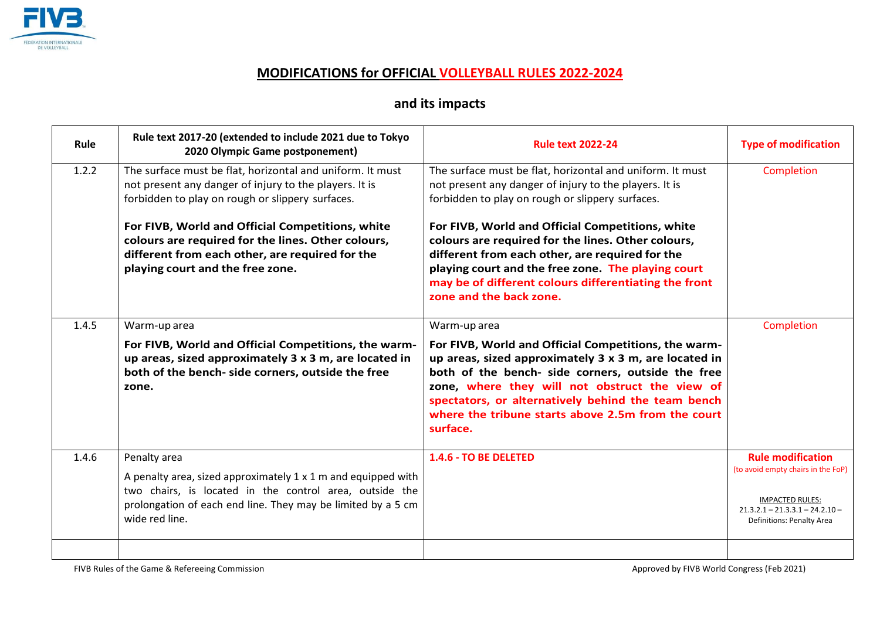

## **MODIFICATIONS for OFFICIAL VOLLEYBALL RULES 2022-2024**

## **and its impacts**

| Rule  | Rule text 2017-20 (extended to include 2021 due to Tokyo<br>2020 Olympic Game postponement)                                                                                                                                | <b>Rule text 2022-24</b>                                                                                                                                                                                                                                                                                                                                            | <b>Type of modification</b>                                                                                                                                |
|-------|----------------------------------------------------------------------------------------------------------------------------------------------------------------------------------------------------------------------------|---------------------------------------------------------------------------------------------------------------------------------------------------------------------------------------------------------------------------------------------------------------------------------------------------------------------------------------------------------------------|------------------------------------------------------------------------------------------------------------------------------------------------------------|
| 1.2.2 | The surface must be flat, horizontal and uniform. It must<br>not present any danger of injury to the players. It is<br>forbidden to play on rough or slippery surfaces.                                                    | The surface must be flat, horizontal and uniform. It must<br>not present any danger of injury to the players. It is<br>forbidden to play on rough or slippery surfaces.                                                                                                                                                                                             | Completion                                                                                                                                                 |
|       | For FIVB, World and Official Competitions, white<br>colours are required for the lines. Other colours,<br>different from each other, are required for the<br>playing court and the free zone.                              | For FIVB, World and Official Competitions, white<br>colours are required for the lines. Other colours,<br>different from each other, are required for the<br>playing court and the free zone. The playing court<br>may be of different colours differentiating the front<br>zone and the back zone.                                                                 |                                                                                                                                                            |
| 1.4.5 | Warm-up area<br>For FIVB, World and Official Competitions, the warm-<br>up areas, sized approximately 3 x 3 m, are located in<br>both of the bench- side corners, outside the free<br>zone.                                | Warm-up area<br>For FIVB, World and Official Competitions, the warm-<br>up areas, sized approximately $3 \times 3$ m, are located in<br>both of the bench- side corners, outside the free<br>zone, where they will not obstruct the view of<br>spectators, or alternatively behind the team bench<br>where the tribune starts above 2.5m from the court<br>surface. | Completion                                                                                                                                                 |
| 1.4.6 | Penalty area<br>A penalty area, sized approximately 1 x 1 m and equipped with<br>two chairs, is located in the control area, outside the<br>prolongation of each end line. They may be limited by a 5 cm<br>wide red line. | 1.4.6 - TO BE DELETED                                                                                                                                                                                                                                                                                                                                               | <b>Rule modification</b><br>(to avoid empty chairs in the FoP)<br><b>IMPACTED RULES:</b><br>$21.3.2.1 - 21.3.3.1 - 24.2.10 -$<br>Definitions: Penalty Area |
|       |                                                                                                                                                                                                                            |                                                                                                                                                                                                                                                                                                                                                                     |                                                                                                                                                            |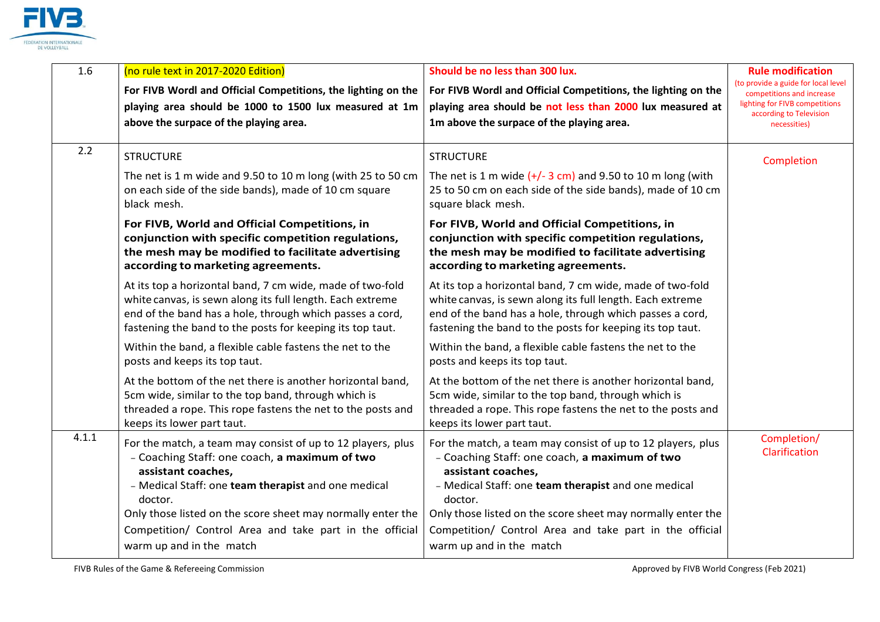

| 1.6   | (no rule text in 2017-2020 Edition)<br>For FIVB Wordl and Official Competitions, the lighting on the<br>playing area should be 1000 to 1500 lux measured at 1m<br>above the surpace of the playing area.                                                                                                                                                   | Should be no less than 300 lux.<br>For FIVB Wordl and Official Competitions, the lighting on the<br>playing area should be not less than 2000 lux measured at<br>1m above the surpace of the playing area.                                                                                                                                                 | <b>Rule modification</b><br>(to provide a guide for local level<br>competitions and increase<br>lighting for FIVB competitions<br>according to Television<br>necessities) |
|-------|------------------------------------------------------------------------------------------------------------------------------------------------------------------------------------------------------------------------------------------------------------------------------------------------------------------------------------------------------------|------------------------------------------------------------------------------------------------------------------------------------------------------------------------------------------------------------------------------------------------------------------------------------------------------------------------------------------------------------|---------------------------------------------------------------------------------------------------------------------------------------------------------------------------|
| 2.2   | <b>STRUCTURE</b><br>The net is 1 m wide and 9.50 to 10 m long (with 25 to 50 cm<br>on each side of the side bands), made of 10 cm square<br>black mesh.                                                                                                                                                                                                    | <b>STRUCTURE</b><br>The net is 1 m wide $(+/- 3$ cm) and 9.50 to 10 m long (with<br>25 to 50 cm on each side of the side bands), made of 10 cm<br>square black mesh.                                                                                                                                                                                       | Completion                                                                                                                                                                |
|       | For FIVB, World and Official Competitions, in<br>conjunction with specific competition regulations,<br>the mesh may be modified to facilitate advertising<br>according to marketing agreements.                                                                                                                                                            | For FIVB, World and Official Competitions, in<br>conjunction with specific competition regulations,<br>the mesh may be modified to facilitate advertising<br>according to marketing agreements.                                                                                                                                                            |                                                                                                                                                                           |
|       | At its top a horizontal band, 7 cm wide, made of two-fold<br>white canvas, is sewn along its full length. Each extreme<br>end of the band has a hole, through which passes a cord,<br>fastening the band to the posts for keeping its top taut.                                                                                                            | At its top a horizontal band, 7 cm wide, made of two-fold<br>white canvas, is sewn along its full length. Each extreme<br>end of the band has a hole, through which passes a cord,<br>fastening the band to the posts for keeping its top taut.                                                                                                            |                                                                                                                                                                           |
|       | Within the band, a flexible cable fastens the net to the<br>posts and keeps its top taut.                                                                                                                                                                                                                                                                  | Within the band, a flexible cable fastens the net to the<br>posts and keeps its top taut.                                                                                                                                                                                                                                                                  |                                                                                                                                                                           |
|       | At the bottom of the net there is another horizontal band,<br>5cm wide, similar to the top band, through which is<br>threaded a rope. This rope fastens the net to the posts and<br>keeps its lower part taut.                                                                                                                                             | At the bottom of the net there is another horizontal band,<br>5cm wide, similar to the top band, through which is<br>threaded a rope. This rope fastens the net to the posts and<br>keeps its lower part taut.                                                                                                                                             |                                                                                                                                                                           |
| 4.1.1 | For the match, a team may consist of up to 12 players, plus<br>- Coaching Staff: one coach, a maximum of two<br>assistant coaches,<br>- Medical Staff: one team therapist and one medical<br>doctor.<br>Only those listed on the score sheet may normally enter the<br>Competition/ Control Area and take part in the official<br>warm up and in the match | For the match, a team may consist of up to 12 players, plus<br>- Coaching Staff: one coach, a maximum of two<br>assistant coaches,<br>- Medical Staff: one team therapist and one medical<br>doctor.<br>Only those listed on the score sheet may normally enter the<br>Competition/ Control Area and take part in the official<br>warm up and in the match | Completion/<br>Clarification                                                                                                                                              |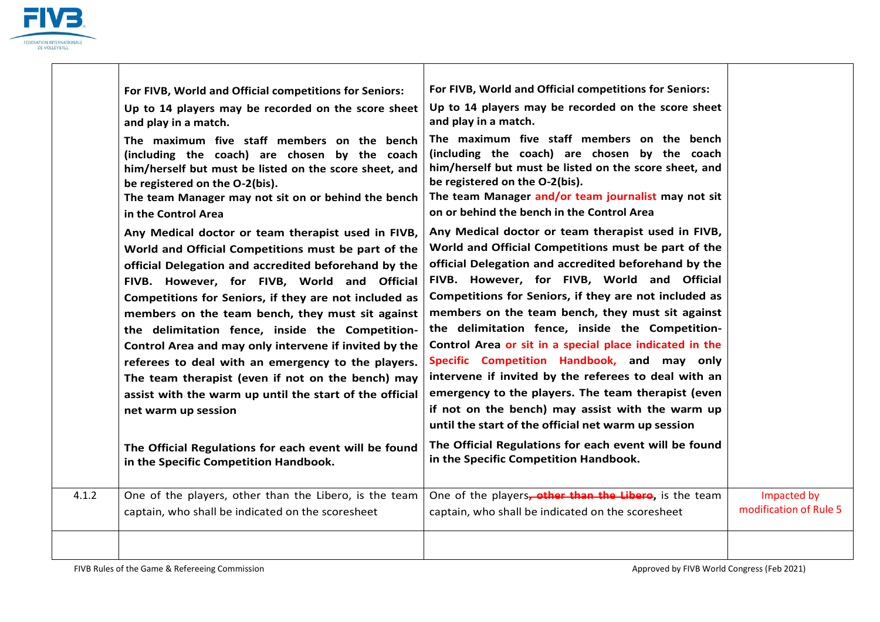

|       | For FIVB, World and Official competitions for Seniors:                                                                                                                                                                                                                                                                                                                                                                                                                                                                                                                                                                                                                                                                                   | For FIVB, World and Official competitions for Seniors:                                                                                                                                                                                                                                                                                                                                                                                                                                                                                                                                                                                                                                                                                                                                                                |                                       |
|-------|------------------------------------------------------------------------------------------------------------------------------------------------------------------------------------------------------------------------------------------------------------------------------------------------------------------------------------------------------------------------------------------------------------------------------------------------------------------------------------------------------------------------------------------------------------------------------------------------------------------------------------------------------------------------------------------------------------------------------------------|-----------------------------------------------------------------------------------------------------------------------------------------------------------------------------------------------------------------------------------------------------------------------------------------------------------------------------------------------------------------------------------------------------------------------------------------------------------------------------------------------------------------------------------------------------------------------------------------------------------------------------------------------------------------------------------------------------------------------------------------------------------------------------------------------------------------------|---------------------------------------|
|       | Up to 14 players may be recorded on the score sheet<br>and play in a match.                                                                                                                                                                                                                                                                                                                                                                                                                                                                                                                                                                                                                                                              | Up to 14 players may be recorded on the score sheet<br>and play in a match.                                                                                                                                                                                                                                                                                                                                                                                                                                                                                                                                                                                                                                                                                                                                           |                                       |
|       | The maximum five staff members on the bench<br>(including the coach) are chosen by the coach<br>him/herself but must be listed on the score sheet, and<br>be registered on the O-2(bis).<br>The team Manager may not sit on or behind the bench<br>in the Control Area                                                                                                                                                                                                                                                                                                                                                                                                                                                                   | The maximum five staff members on the bench<br>(including the coach) are chosen by the coach<br>him/herself but must be listed on the score sheet, and<br>be registered on the O-2(bis).<br>The team Manager and/or team journalist may not sit<br>on or behind the bench in the Control Area                                                                                                                                                                                                                                                                                                                                                                                                                                                                                                                         |                                       |
|       | Any Medical doctor or team therapist used in FIVB,<br>World and Official Competitions must be part of the<br>official Delegation and accredited beforehand by the<br>FIVB. However, for FIVB, World and Official<br>Competitions for Seniors, if they are not included as<br>members on the team bench, they must sit against<br>the delimitation fence, inside the Competition-<br>Control Area and may only intervene if invited by the<br>referees to deal with an emergency to the players.<br>The team therapist (even if not on the bench) may<br>assist with the warm up until the start of the official<br>net warm up session<br>The Official Regulations for each event will be found<br>in the Specific Competition Handbook. | Any Medical doctor or team therapist used in FIVB,<br>World and Official Competitions must be part of the<br>official Delegation and accredited beforehand by the<br>FIVB. However, for FIVB, World and Official<br>Competitions for Seniors, if they are not included as<br>members on the team bench, they must sit against<br>the delimitation fence, inside the Competition-<br>Control Area or sit in a special place indicated in the<br>Specific Competition Handbook, and may only<br>intervene if invited by the referees to deal with an<br>emergency to the players. The team therapist (even<br>if not on the bench) may assist with the warm up<br>until the start of the official net warm up session<br>The Official Regulations for each event will be found<br>in the Specific Competition Handbook. |                                       |
|       |                                                                                                                                                                                                                                                                                                                                                                                                                                                                                                                                                                                                                                                                                                                                          |                                                                                                                                                                                                                                                                                                                                                                                                                                                                                                                                                                                                                                                                                                                                                                                                                       |                                       |
| 4.1.2 | One of the players, other than the Libero, is the team                                                                                                                                                                                                                                                                                                                                                                                                                                                                                                                                                                                                                                                                                   | One of the players, other than the Libero, is the team                                                                                                                                                                                                                                                                                                                                                                                                                                                                                                                                                                                                                                                                                                                                                                | Impacted by<br>modification of Rule 5 |
|       | captain, who shall be indicated on the scoresheet                                                                                                                                                                                                                                                                                                                                                                                                                                                                                                                                                                                                                                                                                        | captain, who shall be indicated on the scoresheet                                                                                                                                                                                                                                                                                                                                                                                                                                                                                                                                                                                                                                                                                                                                                                     |                                       |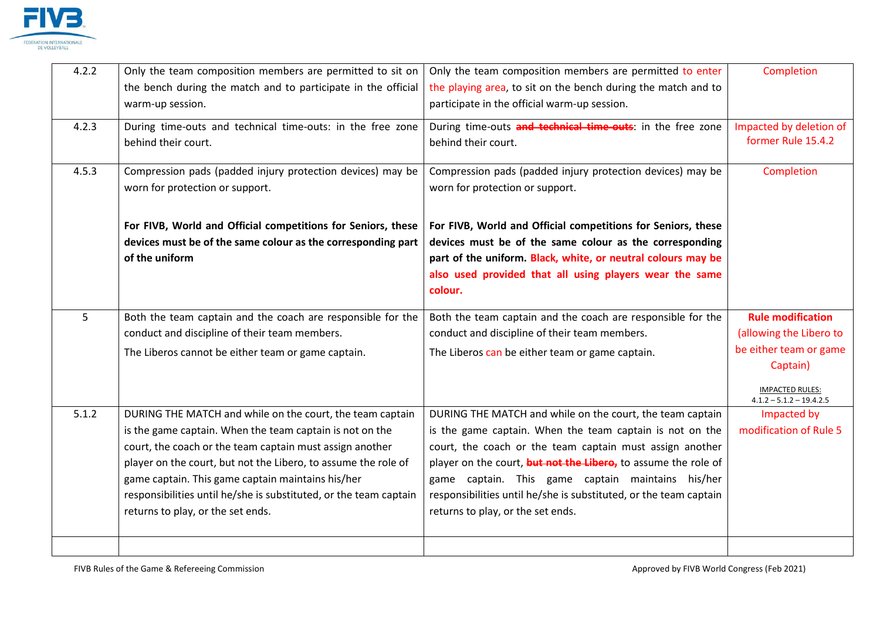

| 4.2.2 | Only the team composition members are permitted to sit on<br>the bench during the match and to participate in the official<br>warm-up session.                                                                                                                                                                                                                                                                     | Only the team composition members are permitted to enter<br>the playing area, to sit on the bench during the match and to<br>participate in the official warm-up session.                                                                                                                                                                                                                                          | Completion                                                                                                                                        |
|-------|--------------------------------------------------------------------------------------------------------------------------------------------------------------------------------------------------------------------------------------------------------------------------------------------------------------------------------------------------------------------------------------------------------------------|--------------------------------------------------------------------------------------------------------------------------------------------------------------------------------------------------------------------------------------------------------------------------------------------------------------------------------------------------------------------------------------------------------------------|---------------------------------------------------------------------------------------------------------------------------------------------------|
| 4.2.3 | During time-outs and technical time-outs: in the free zone<br>behind their court.                                                                                                                                                                                                                                                                                                                                  | During time-outs and technical time-outs: in the free zone<br>behind their court.                                                                                                                                                                                                                                                                                                                                  | Impacted by deletion of<br>former Rule 15.4.2                                                                                                     |
| 4.5.3 | Compression pads (padded injury protection devices) may be<br>worn for protection or support.                                                                                                                                                                                                                                                                                                                      | Compression pads (padded injury protection devices) may be<br>worn for protection or support.                                                                                                                                                                                                                                                                                                                      | Completion                                                                                                                                        |
|       | For FIVB, World and Official competitions for Seniors, these<br>devices must be of the same colour as the corresponding part<br>of the uniform                                                                                                                                                                                                                                                                     | For FIVB, World and Official competitions for Seniors, these<br>devices must be of the same colour as the corresponding<br>part of the uniform. Black, white, or neutral colours may be<br>also used provided that all using players wear the same<br>colour.                                                                                                                                                      |                                                                                                                                                   |
| 5     | Both the team captain and the coach are responsible for the<br>conduct and discipline of their team members.<br>The Liberos cannot be either team or game captain.                                                                                                                                                                                                                                                 | Both the team captain and the coach are responsible for the<br>conduct and discipline of their team members.<br>The Liberos can be either team or game captain.                                                                                                                                                                                                                                                    | <b>Rule modification</b><br>(allowing the Libero to<br>be either team or game<br>Captain)<br><b>IMPACTED RULES:</b><br>$4.1.2 - 5.1.2 - 19.4.2.5$ |
| 5.1.2 | DURING THE MATCH and while on the court, the team captain<br>is the game captain. When the team captain is not on the<br>court, the coach or the team captain must assign another<br>player on the court, but not the Libero, to assume the role of<br>game captain. This game captain maintains his/her<br>responsibilities until he/she is substituted, or the team captain<br>returns to play, or the set ends. | DURING THE MATCH and while on the court, the team captain<br>is the game captain. When the team captain is not on the<br>court, the coach or the team captain must assign another<br>player on the court, but not the Libero, to assume the role of<br>game captain. This game captain maintains his/her<br>responsibilities until he/she is substituted, or the team captain<br>returns to play, or the set ends. | Impacted by<br>modification of Rule 5                                                                                                             |
|       |                                                                                                                                                                                                                                                                                                                                                                                                                    |                                                                                                                                                                                                                                                                                                                                                                                                                    |                                                                                                                                                   |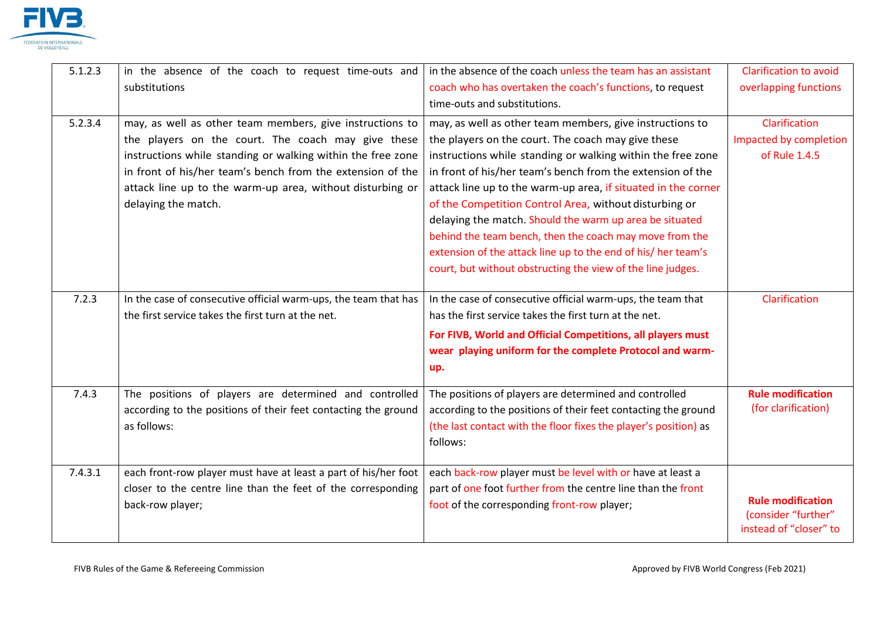

| 5.1.2.3 | in the absence of the coach to request time-outs and            | in the absence of the coach unless the team has an assistant     | <b>Clarification to avoid</b>                   |
|---------|-----------------------------------------------------------------|------------------------------------------------------------------|-------------------------------------------------|
|         | substitutions                                                   | coach who has overtaken the coach's functions, to request        | overlapping functions                           |
|         |                                                                 | time-outs and substitutions.                                     |                                                 |
| 5.2.3.4 | may, as well as other team members, give instructions to        | may, as well as other team members, give instructions to         | Clarification                                   |
|         | the players on the court. The coach may give these              | the players on the court. The coach may give these               | Impacted by completion                          |
|         | instructions while standing or walking within the free zone     | instructions while standing or walking within the free zone      | of Rule 1.4.5                                   |
|         | in front of his/her team's bench from the extension of the      | in front of his/her team's bench from the extension of the       |                                                 |
|         | attack line up to the warm-up area, without disturbing or       | attack line up to the warm-up area, if situated in the corner    |                                                 |
|         | delaying the match.                                             | of the Competition Control Area, without disturbing or           |                                                 |
|         |                                                                 | delaying the match. Should the warm up area be situated          |                                                 |
|         |                                                                 | behind the team bench, then the coach may move from the          |                                                 |
|         |                                                                 | extension of the attack line up to the end of his/her team's     |                                                 |
|         |                                                                 | court, but without obstructing the view of the line judges.      |                                                 |
|         |                                                                 |                                                                  |                                                 |
| 7.2.3   | In the case of consecutive official warm-ups, the team that has | In the case of consecutive official warm-ups, the team that      | Clarification                                   |
|         | the first service takes the first turn at the net.              | has the first service takes the first turn at the net.           |                                                 |
|         |                                                                 | For FIVB, World and Official Competitions, all players must      |                                                 |
|         |                                                                 | wear playing uniform for the complete Protocol and warm-         |                                                 |
|         |                                                                 | up.                                                              |                                                 |
| 7.4.3   | The positions of players are determined and controlled          | The positions of players are determined and controlled           | <b>Rule modification</b>                        |
|         | according to the positions of their feet contacting the ground  | according to the positions of their feet contacting the ground   | (for clarification)                             |
|         | as follows:                                                     | (the last contact with the floor fixes the player's position) as |                                                 |
|         |                                                                 | follows:                                                         |                                                 |
|         |                                                                 |                                                                  |                                                 |
| 7.4.3.1 | each front-row player must have at least a part of his/her foot | each back-row player must be level with or have at least a       |                                                 |
|         | closer to the centre line than the feet of the corresponding    | part of one foot further from the centre line than the front     |                                                 |
|         | back-row player;                                                | foot of the corresponding front-row player;                      | <b>Rule modification</b><br>(consider "further" |
|         |                                                                 |                                                                  | instead of "closer" to                          |
|         |                                                                 |                                                                  |                                                 |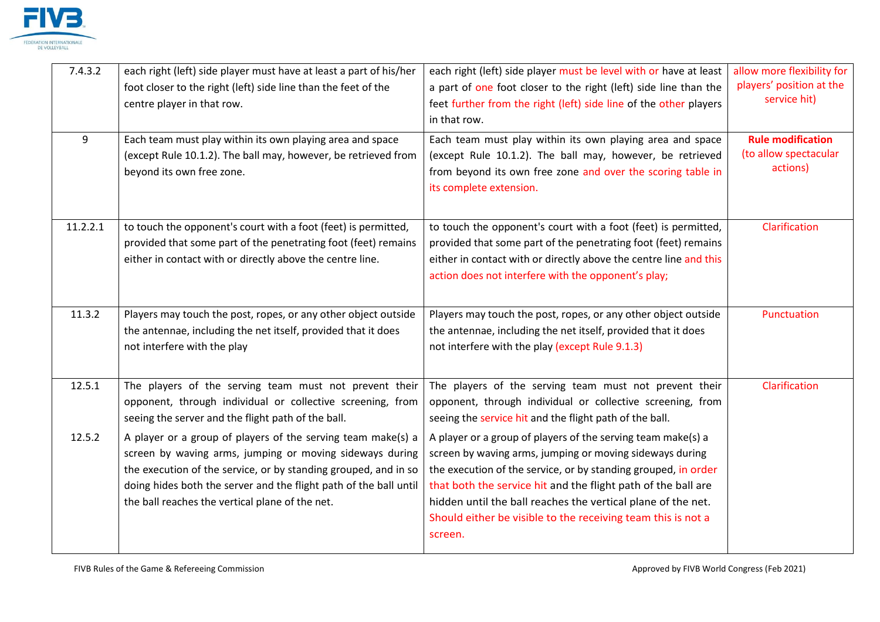

| 7.4.3.2  | each right (left) side player must have at least a part of his/her<br>foot closer to the right (left) side line than the feet of the<br>centre player in that row.                                                                                                                                                  | each right (left) side player must be level with or have at least<br>a part of one foot closer to the right (left) side line than the<br>feet further from the right (left) side line of the other players<br>in that row.                                                                                                                                                                             | allow more flexibility for<br>players' position at the<br>service hit) |
|----------|---------------------------------------------------------------------------------------------------------------------------------------------------------------------------------------------------------------------------------------------------------------------------------------------------------------------|--------------------------------------------------------------------------------------------------------------------------------------------------------------------------------------------------------------------------------------------------------------------------------------------------------------------------------------------------------------------------------------------------------|------------------------------------------------------------------------|
| 9        | Each team must play within its own playing area and space<br>(except Rule 10.1.2). The ball may, however, be retrieved from<br>beyond its own free zone.                                                                                                                                                            | Each team must play within its own playing area and space<br>(except Rule 10.1.2). The ball may, however, be retrieved<br>from beyond its own free zone and over the scoring table in<br>its complete extension.                                                                                                                                                                                       | <b>Rule modification</b><br>(to allow spectacular<br>actions)          |
| 11.2.2.1 | to touch the opponent's court with a foot (feet) is permitted,<br>provided that some part of the penetrating foot (feet) remains<br>either in contact with or directly above the centre line.                                                                                                                       | to touch the opponent's court with a foot (feet) is permitted,<br>provided that some part of the penetrating foot (feet) remains<br>either in contact with or directly above the centre line and this<br>action does not interfere with the opponent's play;                                                                                                                                           | Clarification                                                          |
| 11.3.2   | Players may touch the post, ropes, or any other object outside<br>the antennae, including the net itself, provided that it does<br>not interfere with the play                                                                                                                                                      | Players may touch the post, ropes, or any other object outside<br>the antennae, including the net itself, provided that it does<br>not interfere with the play (except Rule 9.1.3)                                                                                                                                                                                                                     | Punctuation                                                            |
| 12.5.1   | The players of the serving team must not prevent their<br>opponent, through individual or collective screening, from<br>seeing the server and the flight path of the ball.                                                                                                                                          | The players of the serving team must not prevent their<br>opponent, through individual or collective screening, from<br>seeing the service hit and the flight path of the ball.                                                                                                                                                                                                                        | Clarification                                                          |
| 12.5.2   | A player or a group of players of the serving team make(s) a<br>screen by waving arms, jumping or moving sideways during<br>the execution of the service, or by standing grouped, and in so<br>doing hides both the server and the flight path of the ball until<br>the ball reaches the vertical plane of the net. | A player or a group of players of the serving team make(s) a<br>screen by waving arms, jumping or moving sideways during<br>the execution of the service, or by standing grouped, in order<br>that both the service hit and the flight path of the ball are<br>hidden until the ball reaches the vertical plane of the net.<br>Should either be visible to the receiving team this is not a<br>screen. |                                                                        |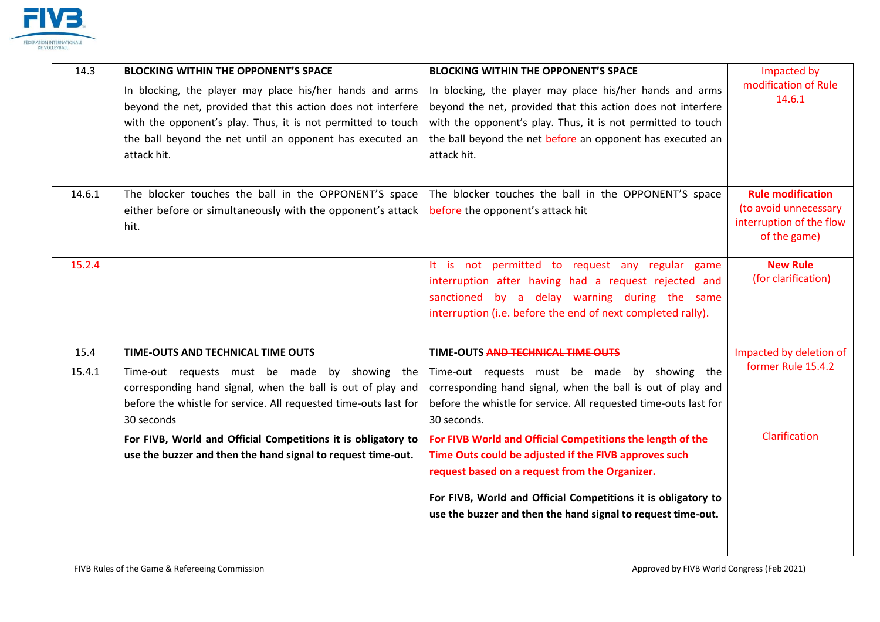

| 14.3   | <b>BLOCKING WITHIN THE OPPONENT'S SPACE</b>                      | <b>BLOCKING WITHIN THE OPPONENT'S SPACE</b>                                                                                   | Impacted by              |
|--------|------------------------------------------------------------------|-------------------------------------------------------------------------------------------------------------------------------|--------------------------|
|        | In blocking, the player may place his/her hands and arms         | In blocking, the player may place his/her hands and arms                                                                      | modification of Rule     |
|        | beyond the net, provided that this action does not interfere     | beyond the net, provided that this action does not interfere                                                                  | 14.6.1                   |
|        | with the opponent's play. Thus, it is not permitted to touch     | with the opponent's play. Thus, it is not permitted to touch                                                                  |                          |
|        | the ball beyond the net until an opponent has executed an        | the ball beyond the net before an opponent has executed an                                                                    |                          |
|        | attack hit.                                                      | attack hit.                                                                                                                   |                          |
|        |                                                                  |                                                                                                                               |                          |
| 14.6.1 | The blocker touches the ball in the OPPONENT'S space             | The blocker touches the ball in the OPPONENT'S space                                                                          | <b>Rule modification</b> |
|        | either before or simultaneously with the opponent's attack       | before the opponent's attack hit                                                                                              | (to avoid unnecessary    |
|        | hit.                                                             |                                                                                                                               | interruption of the flow |
|        |                                                                  |                                                                                                                               | of the game)             |
| 15.2.4 |                                                                  | It is not permitted to request any regular game                                                                               | <b>New Rule</b>          |
|        |                                                                  | interruption after having had a request rejected and                                                                          | (for clarification)      |
|        |                                                                  | sanctioned by a delay warning during the same                                                                                 |                          |
|        |                                                                  | interruption (i.e. before the end of next completed rally).                                                                   |                          |
|        |                                                                  |                                                                                                                               |                          |
| 15.4   | TIME-OUTS AND TECHNICAL TIME OUTS                                | TIME-OUTS AND TECHNICAL TIME OUTS                                                                                             | Impacted by deletion of  |
| 15.4.1 | Time-out requests must be made by showing the                    | Time-out requests must be made by showing the                                                                                 | former Rule 15.4.2       |
|        | corresponding hand signal, when the ball is out of play and      | corresponding hand signal, when the ball is out of play and                                                                   |                          |
|        | before the whistle for service. All requested time-outs last for | before the whistle for service. All requested time-outs last for                                                              |                          |
|        | 30 seconds                                                       | 30 seconds.                                                                                                                   |                          |
|        | For FIVB, World and Official Competitions it is obligatory to    | For FIVB World and Official Competitions the length of the                                                                    | Clarification            |
|        | use the buzzer and then the hand signal to request time-out.     | Time Outs could be adjusted if the FIVB approves such                                                                         |                          |
|        |                                                                  | request based on a request from the Organizer.                                                                                |                          |
|        |                                                                  |                                                                                                                               |                          |
|        |                                                                  | For FIVB, World and Official Competitions it is obligatory to<br>use the buzzer and then the hand signal to request time-out. |                          |
|        |                                                                  |                                                                                                                               |                          |
|        |                                                                  |                                                                                                                               |                          |
|        |                                                                  |                                                                                                                               |                          |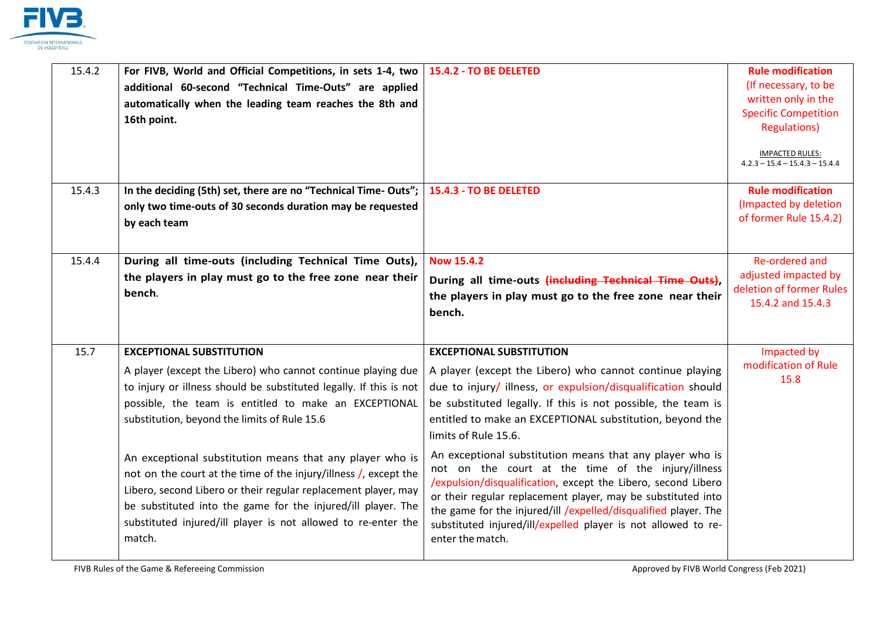

| 15.4.2 | For FIVB, World and Official Competitions, in sets 1-4, two<br>additional 60-second "Technical Time-Outs" are applied<br>automatically when the leading team reaches the 8th and<br>16th point.                                                                                                                                           | 15.4.2 - TO BE DELETED                                                                                                                                                                                                                                                                                                                                                                                  | <b>Rule modification</b><br>(If necessary, to be<br>written only in the<br><b>Specific Competition</b><br><b>Regulations)</b><br><b>IMPACTED RULES:</b><br>$4.2.3 - 15.4 - 15.4.3 - 15.4.4$ |
|--------|-------------------------------------------------------------------------------------------------------------------------------------------------------------------------------------------------------------------------------------------------------------------------------------------------------------------------------------------|---------------------------------------------------------------------------------------------------------------------------------------------------------------------------------------------------------------------------------------------------------------------------------------------------------------------------------------------------------------------------------------------------------|---------------------------------------------------------------------------------------------------------------------------------------------------------------------------------------------|
| 15.4.3 | In the deciding (5th) set, there are no "Technical Time-Outs";<br>only two time-outs of 30 seconds duration may be requested<br>by each team                                                                                                                                                                                              | 15.4.3 - TO BE DELETED                                                                                                                                                                                                                                                                                                                                                                                  | <b>Rule modification</b><br>(Impacted by deletion<br>of former Rule 15.4.2)                                                                                                                 |
| 15.4.4 | During all time-outs (including Technical Time Outs),<br>the players in play must go to the free zone near their<br>bench.                                                                                                                                                                                                                | <b>Now 15.4.2</b><br>During all time-outs (including Technical Time Outs),<br>the players in play must go to the free zone near their<br>bench.                                                                                                                                                                                                                                                         | Re-ordered and<br>adjusted impacted by<br>deletion of former Rules<br>15.4.2 and 15.4.3                                                                                                     |
| 15.7   | <b>EXCEPTIONAL SUBSTITUTION</b><br>A player (except the Libero) who cannot continue playing due<br>to injury or illness should be substituted legally. If this is not<br>possible, the team is entitled to make an EXCEPTIONAL<br>substitution, beyond the limits of Rule 15.6                                                            | <b>EXCEPTIONAL SUBSTITUTION</b><br>A player (except the Libero) who cannot continue playing<br>due to injury/ illness, or expulsion/disqualification should<br>be substituted legally. If this is not possible, the team is<br>entitled to make an EXCEPTIONAL substitution, beyond the<br>limits of Rule 15.6.                                                                                         | Impacted by<br>modification of Rule<br>15.8                                                                                                                                                 |
|        | An exceptional substitution means that any player who is<br>not on the court at the time of the injury/illness /, except the<br>Libero, second Libero or their regular replacement player, may<br>be substituted into the game for the injured/ill player. The<br>substituted injured/ill player is not allowed to re-enter the<br>match. | An exceptional substitution means that any player who is<br>not on the court at the time of the injury/illness<br>/expulsion/disqualification, except the Libero, second Libero<br>or their regular replacement player, may be substituted into<br>the game for the injured/ill /expelled/disqualified player. The<br>substituted injured/ill/expelled player is not allowed to re-<br>enter the match. |                                                                                                                                                                                             |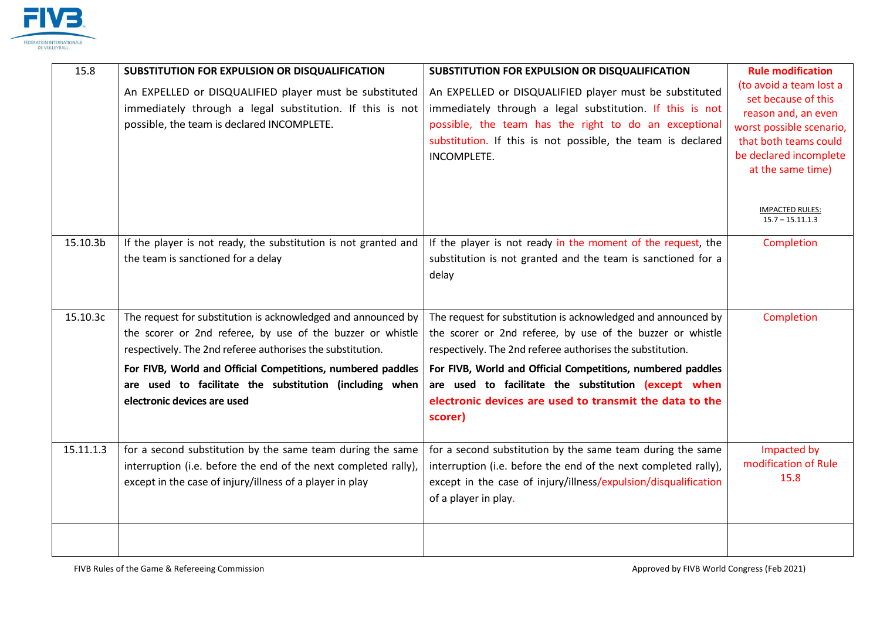

| 15.8      | SUBSTITUTION FOR EXPULSION OR DISQUALIFICATION<br>An EXPELLED or DISQUALIFIED player must be substituted<br>immediately through a legal substitution. If this is not<br>possible, the team is declared INCOMPLETE.                                                                                                                                 | SUBSTITUTION FOR EXPULSION OR DISQUALIFICATION<br>An EXPELLED or DISQUALIFIED player must be substituted<br>immediately through a legal substitution. If this is not<br>possible, the team has the right to do an exceptional<br>substitution. If this is not possible, the team is declared<br>INCOMPLETE.                                                                            | <b>Rule modification</b><br>(to avoid a team lost a<br>set because of this<br>reason and, an even<br>worst possible scenario,<br>that both teams could<br>be declared incomplete<br>at the same time)<br><b>IMPACTED RULES:</b><br>$15.7 - 15.11.1.3$ |
|-----------|----------------------------------------------------------------------------------------------------------------------------------------------------------------------------------------------------------------------------------------------------------------------------------------------------------------------------------------------------|----------------------------------------------------------------------------------------------------------------------------------------------------------------------------------------------------------------------------------------------------------------------------------------------------------------------------------------------------------------------------------------|-------------------------------------------------------------------------------------------------------------------------------------------------------------------------------------------------------------------------------------------------------|
| 15.10.3b  | If the player is not ready, the substitution is not granted and<br>the team is sanctioned for a delay                                                                                                                                                                                                                                              | If the player is not ready in the moment of the request, the<br>substitution is not granted and the team is sanctioned for a<br>delay                                                                                                                                                                                                                                                  | Completion                                                                                                                                                                                                                                            |
| 15.10.3c  | The request for substitution is acknowledged and announced by<br>the scorer or 2nd referee, by use of the buzzer or whistle<br>respectively. The 2nd referee authorises the substitution.<br>For FIVB, World and Official Competitions, numbered paddles<br>are used to facilitate the substitution (including when<br>electronic devices are used | The request for substitution is acknowledged and announced by<br>the scorer or 2nd referee, by use of the buzzer or whistle<br>respectively. The 2nd referee authorises the substitution.<br>For FIVB, World and Official Competitions, numbered paddles<br>are used to facilitate the substitution (except when<br>electronic devices are used to transmit the data to the<br>scorer) | Completion                                                                                                                                                                                                                                            |
| 15.11.1.3 | for a second substitution by the same team during the same<br>interruption (i.e. before the end of the next completed rally),<br>except in the case of injury/illness of a player in play                                                                                                                                                          | for a second substitution by the same team during the same<br>interruption (i.e. before the end of the next completed rally),<br>except in the case of injury/illness/expulsion/disqualification<br>of a player in play.                                                                                                                                                               | Impacted by<br>modification of Rule<br>15.8                                                                                                                                                                                                           |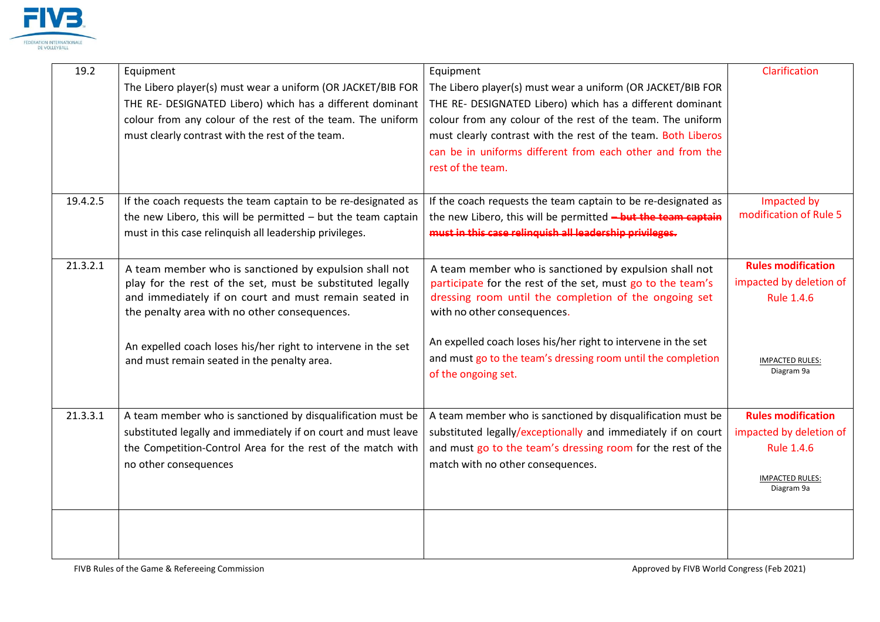

| 19.2     | Equipment<br>The Libero player(s) must wear a uniform (OR JACKET/BIB FOR<br>THE RE- DESIGNATED Libero) which has a different dominant<br>colour from any colour of the rest of the team. The uniform<br>must clearly contrast with the rest of the team. | Equipment<br>The Libero player(s) must wear a uniform (OR JACKET/BIB FOR<br>THE RE- DESIGNATED Libero) which has a different dominant<br>colour from any colour of the rest of the team. The uniform<br>must clearly contrast with the rest of the team. Both Liberos<br>can be in uniforms different from each other and from the<br>rest of the team. | Clarification                                                                                              |
|----------|----------------------------------------------------------------------------------------------------------------------------------------------------------------------------------------------------------------------------------------------------------|---------------------------------------------------------------------------------------------------------------------------------------------------------------------------------------------------------------------------------------------------------------------------------------------------------------------------------------------------------|------------------------------------------------------------------------------------------------------------|
| 19.4.2.5 | If the coach requests the team captain to be re-designated as<br>the new Libero, this will be permitted $-$ but the team captain<br>must in this case relinquish all leadership privileges.                                                              | If the coach requests the team captain to be re-designated as<br>the new Libero, this will be permitted - but the team captain<br>must in this case relinguish all leadership privileges.                                                                                                                                                               | Impacted by<br>modification of Rule 5                                                                      |
| 21.3.2.1 | A team member who is sanctioned by expulsion shall not<br>play for the rest of the set, must be substituted legally<br>and immediately if on court and must remain seated in<br>the penalty area with no other consequences.                             | A team member who is sanctioned by expulsion shall not<br>participate for the rest of the set, must go to the team's<br>dressing room until the completion of the ongoing set<br>with no other consequences.                                                                                                                                            | <b>Rules modification</b><br>impacted by deletion of<br>Rule 1.4.6                                         |
|          | An expelled coach loses his/her right to intervene in the set<br>and must remain seated in the penalty area.                                                                                                                                             | An expelled coach loses his/her right to intervene in the set<br>and must go to the team's dressing room until the completion<br>of the ongoing set.                                                                                                                                                                                                    | <b>IMPACTED RULES:</b><br>Diagram 9a                                                                       |
| 21.3.3.1 | A team member who is sanctioned by disqualification must be<br>substituted legally and immediately if on court and must leave<br>the Competition-Control Area for the rest of the match with<br>no other consequences                                    | A team member who is sanctioned by disqualification must be<br>substituted legally/exceptionally and immediately if on court<br>and must go to the team's dressing room for the rest of the<br>match with no other consequences.                                                                                                                        | <b>Rules modification</b><br>impacted by deletion of<br>Rule 1.4.6<br><b>IMPACTED RULES:</b><br>Diagram 9a |
|          |                                                                                                                                                                                                                                                          |                                                                                                                                                                                                                                                                                                                                                         |                                                                                                            |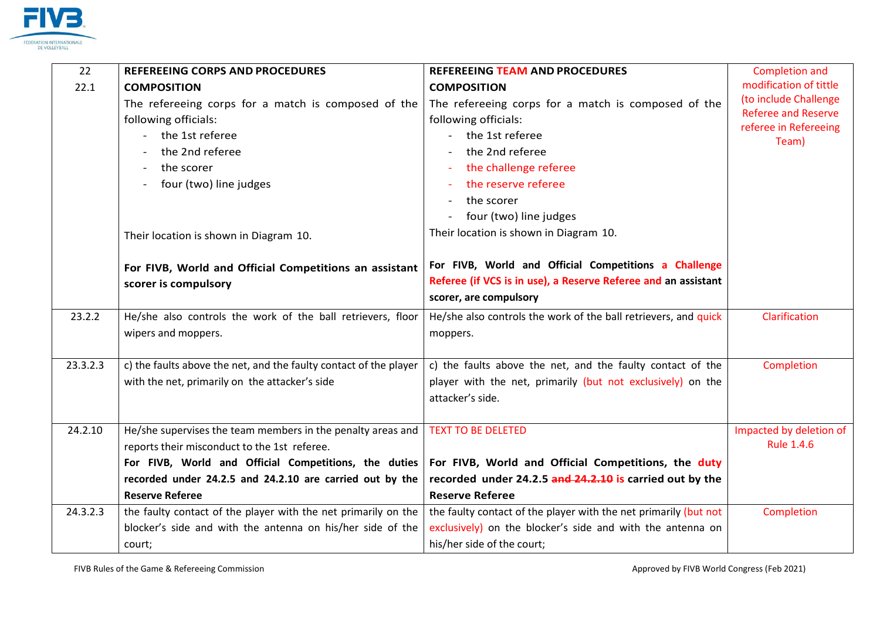

| 22       | REFEREEING CORPS AND PROCEDURES                                   | REFEREEING TEAM AND PROCEDURES                                   | Completion and                                      |
|----------|-------------------------------------------------------------------|------------------------------------------------------------------|-----------------------------------------------------|
| 22.1     | <b>COMPOSITION</b>                                                | <b>COMPOSITION</b>                                               | modification of tittle                              |
|          | The refereeing corps for a match is composed of the               | The refereeing corps for a match is composed of the              | (to include Challenge                               |
|          | following officials:                                              | following officials:                                             | <b>Referee and Reserve</b><br>referee in Refereeing |
|          | - the 1st referee                                                 | the 1st referee<br>$\overline{\phantom{a}}$                      | Team)                                               |
|          | the 2nd referee                                                   | the 2nd referee                                                  |                                                     |
|          | the scorer                                                        | the challenge referee                                            |                                                     |
|          | four (two) line judges                                            | the reserve referee                                              |                                                     |
|          |                                                                   | the scorer                                                       |                                                     |
|          |                                                                   | four (two) line judges                                           |                                                     |
|          | Their location is shown in Diagram 10.                            | Their location is shown in Diagram 10.                           |                                                     |
|          |                                                                   |                                                                  |                                                     |
|          | For FIVB, World and Official Competitions an assistant            | For FIVB, World and Official Competitions a Challenge            |                                                     |
|          | scorer is compulsory                                              | Referee (if VCS is in use), a Reserve Referee and an assistant   |                                                     |
|          |                                                                   | scorer, are compulsory                                           |                                                     |
| 23.2.2   | He/she also controls the work of the ball retrievers, floor       | He/she also controls the work of the ball retrievers, and quick  | Clarification                                       |
|          | wipers and moppers.                                               | moppers.                                                         |                                                     |
|          |                                                                   |                                                                  |                                                     |
| 23.3.2.3 | c) the faults above the net, and the faulty contact of the player | c) the faults above the net, and the faulty contact of the       | Completion                                          |
|          | with the net, primarily on the attacker's side                    | player with the net, primarily (but not exclusively) on the      |                                                     |
|          |                                                                   | attacker's side.                                                 |                                                     |
|          |                                                                   |                                                                  |                                                     |
| 24.2.10  | He/she supervises the team members in the penalty areas and       | <b>TEXT TO BE DELETED</b>                                        | Impacted by deletion of                             |
|          | reports their misconduct to the 1st referee.                      |                                                                  | <b>Rule 1.4.6</b>                                   |
|          | For FIVB, World and Official Competitions, the duties             | For FIVB, World and Official Competitions, the duty              |                                                     |
|          | recorded under 24.2.5 and 24.2.10 are carried out by the          | recorded under 24.2.5 and 24.2.10 is carried out by the          |                                                     |
|          | <b>Reserve Referee</b>                                            | <b>Reserve Referee</b>                                           |                                                     |
| 24.3.2.3 | the faulty contact of the player with the net primarily on the    | the faulty contact of the player with the net primarily (but not | Completion                                          |
|          | blocker's side and with the antenna on his/her side of the        | exclusively) on the blocker's side and with the antenna on       |                                                     |
|          | court;                                                            | his/her side of the court;                                       |                                                     |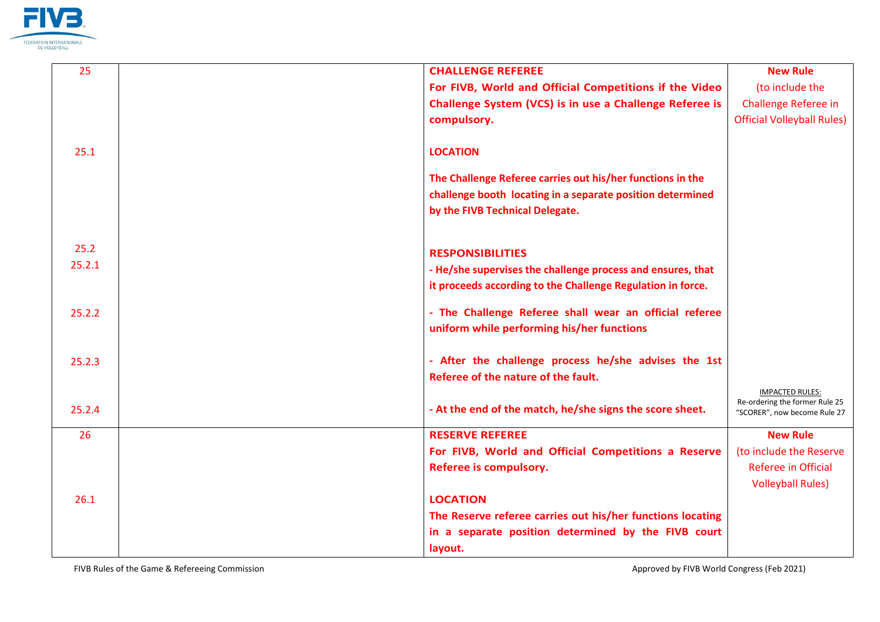

| 25     | <b>CHALLENGE REFEREE</b>                                    | <b>New Rule</b>                   |
|--------|-------------------------------------------------------------|-----------------------------------|
|        | For FIVB, World and Official Competitions if the Video      | (to include the                   |
|        | Challenge System (VCS) is in use a Challenge Referee is     | <b>Challenge Referee in</b>       |
|        | compulsory.                                                 | <b>Official Volleyball Rules)</b> |
|        |                                                             |                                   |
| 25.1   | <b>LOCATION</b>                                             |                                   |
|        | The Challenge Referee carries out his/her functions in the  |                                   |
|        | challenge booth locating in a separate position determined  |                                   |
|        | by the FIVB Technical Delegate.                             |                                   |
|        |                                                             |                                   |
| 25.2   | <b>RESPONSIBILITIES</b>                                     |                                   |
| 25.2.1 | - He/she supervises the challenge process and ensures, that |                                   |
|        | it proceeds according to the Challenge Regulation in force. |                                   |
| 25.2.2 | - The Challenge Referee shall wear an official referee      |                                   |
|        | uniform while performing his/her functions                  |                                   |
|        | - After the challenge process he/she advises the 1st        |                                   |
| 25.2.3 | Referee of the nature of the fault.                         |                                   |
|        |                                                             | <b>IMPACTED RULES:</b>            |
| 25.2.4 | - At the end of the match, he/she signs the score sheet.    | Re-ordering the former Rule 25    |
|        |                                                             | "SCORER", now become Rule 27      |
| 26     | <b>RESERVE REFEREE</b>                                      | <b>New Rule</b>                   |
|        | For FIVB, World and Official Competitions a Reserve         | (to include the Reserve           |
|        | Referee is compulsory.                                      | <b>Referee in Official</b>        |
|        |                                                             | <b>Volleyball Rules)</b>          |
| 26.1   | <b>LOCATION</b>                                             |                                   |
|        | The Reserve referee carries out his/her functions locating  |                                   |
|        | in a separate position determined by the FIVB court         |                                   |
|        | layout.                                                     |                                   |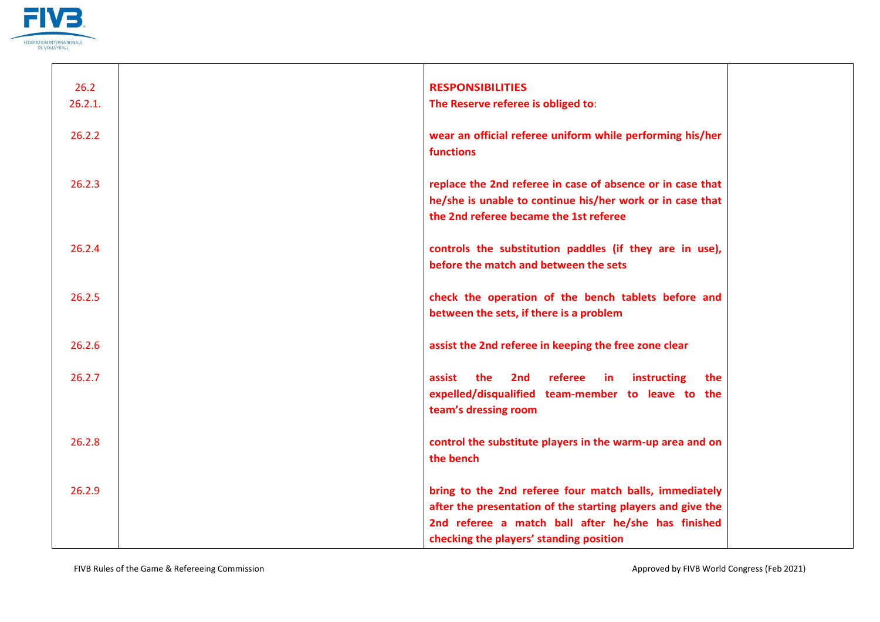

| 26.2<br>26.2.1. | <b>RESPONSIBILITIES</b><br>The Reserve referee is obliged to:                                                                                                                                                          |  |
|-----------------|------------------------------------------------------------------------------------------------------------------------------------------------------------------------------------------------------------------------|--|
| 26.2.2          | wear an official referee uniform while performing his/her<br>functions                                                                                                                                                 |  |
| 26.2.3          | replace the 2nd referee in case of absence or in case that<br>he/she is unable to continue his/her work or in case that<br>the 2nd referee became the 1st referee                                                      |  |
| 26.2.4          | controls the substitution paddles (if they are in use),<br>before the match and between the sets                                                                                                                       |  |
| 26.2.5          | check the operation of the bench tablets before and<br>between the sets, if there is a problem                                                                                                                         |  |
| 26.2.6          | assist the 2nd referee in keeping the free zone clear                                                                                                                                                                  |  |
| 26.2.7          | the<br>2nd<br>referee<br>instructing<br>assist<br>in<br>the<br>expelled/disqualified team-member to leave to the<br>team's dressing room                                                                               |  |
| 26.2.8          | control the substitute players in the warm-up area and on<br>the bench                                                                                                                                                 |  |
| 26.2.9          | bring to the 2nd referee four match balls, immediately<br>after the presentation of the starting players and give the<br>2nd referee a match ball after he/she has finished<br>checking the players' standing position |  |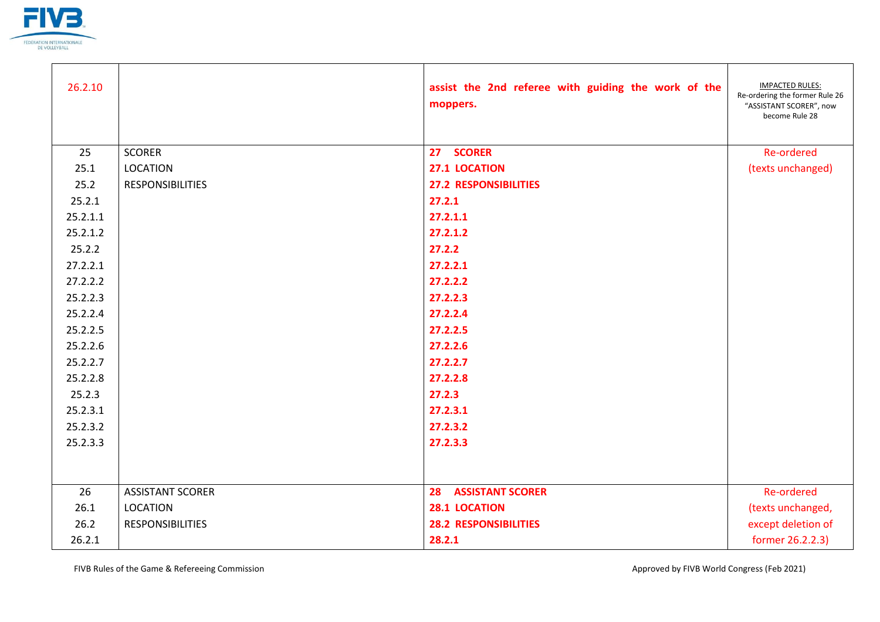

| 26.2.10  |                         | assist the 2nd referee with guiding the work of the<br>moppers. | <b>IMPACTED RULES:</b><br>Re-ordering the former Rule 26<br>"ASSISTANT SCORER", now<br>become Rule 28 |
|----------|-------------------------|-----------------------------------------------------------------|-------------------------------------------------------------------------------------------------------|
| 25       | <b>SCORER</b>           | 27 SCORER                                                       | <b>Re-ordered</b>                                                                                     |
| 25.1     | <b>LOCATION</b>         | 27.1 LOCATION                                                   | (texts unchanged)                                                                                     |
| 25.2     | <b>RESPONSIBILITIES</b> | <b>27.2 RESPONSIBILITIES</b>                                    |                                                                                                       |
| 25.2.1   |                         | 27.2.1                                                          |                                                                                                       |
| 25.2.1.1 |                         | 27.2.1.1                                                        |                                                                                                       |
| 25.2.1.2 |                         | 27.2.1.2                                                        |                                                                                                       |
| 25.2.2   |                         | 27.2.2                                                          |                                                                                                       |
| 27.2.2.1 |                         | 27.2.2.1                                                        |                                                                                                       |
| 27.2.2.2 |                         | 27.2.2.2                                                        |                                                                                                       |
| 25.2.2.3 |                         | 27.2.2.3                                                        |                                                                                                       |
| 25.2.2.4 |                         | 27.2.2.4                                                        |                                                                                                       |
| 25.2.2.5 |                         | 27.2.2.5                                                        |                                                                                                       |
| 25.2.2.6 |                         | 27.2.2.6                                                        |                                                                                                       |
| 25.2.2.7 |                         | 27.2.2.7                                                        |                                                                                                       |
| 25.2.2.8 |                         | 27.2.2.8                                                        |                                                                                                       |
| 25.2.3   |                         | 27.2.3                                                          |                                                                                                       |
| 25.2.3.1 |                         | 27.2.3.1                                                        |                                                                                                       |
| 25.2.3.2 |                         | 27.2.3.2                                                        |                                                                                                       |
| 25.2.3.3 |                         | 27.2.3.3                                                        |                                                                                                       |
|          |                         |                                                                 |                                                                                                       |
| 26       | <b>ASSISTANT SCORER</b> | <b>28 ASSISTANT SCORER</b>                                      | <b>Re-ordered</b>                                                                                     |
| 26.1     | <b>LOCATION</b>         | 28.1 LOCATION                                                   | (texts unchanged,                                                                                     |
| 26.2     | <b>RESPONSIBILITIES</b> | <b>28.2 RESPONSIBILITIES</b>                                    | except deletion of                                                                                    |
| 26.2.1   |                         | 28.2.1                                                          | former 26.2.2.3)                                                                                      |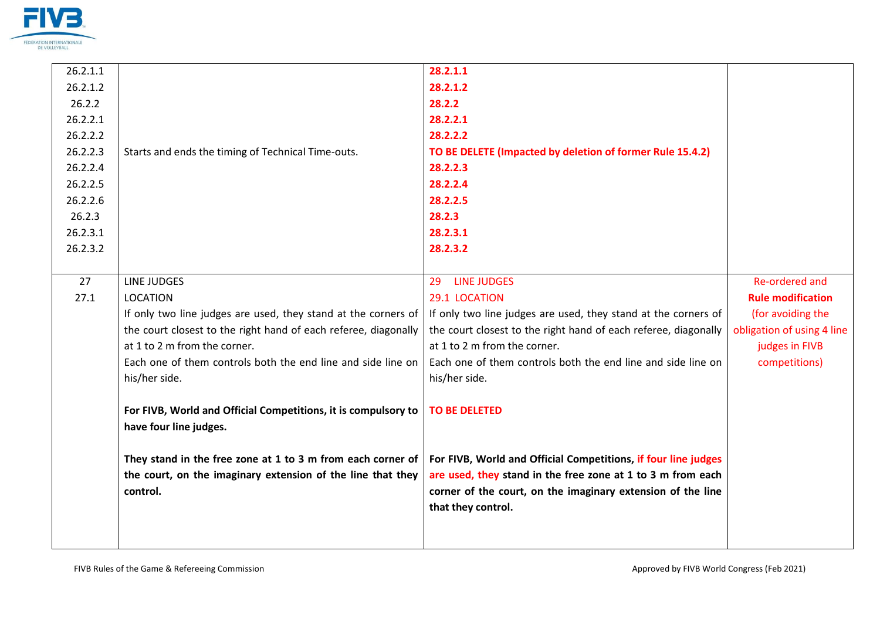

| 26.2.1.1 |                                                                 | 28.2.1.1                                                        |                            |
|----------|-----------------------------------------------------------------|-----------------------------------------------------------------|----------------------------|
| 26.2.1.2 |                                                                 | 28.2.1.2                                                        |                            |
| 26.2.2   |                                                                 | 28.2.2                                                          |                            |
| 26.2.2.1 |                                                                 | 28.2.2.1                                                        |                            |
| 26.2.2.2 |                                                                 | 28.2.2.2                                                        |                            |
| 26.2.2.3 | Starts and ends the timing of Technical Time-outs.              | TO BE DELETE (Impacted by deletion of former Rule 15.4.2)       |                            |
| 26.2.2.4 |                                                                 | 28.2.2.3                                                        |                            |
| 26.2.2.5 |                                                                 | 28.2.2.4                                                        |                            |
| 26.2.2.6 |                                                                 | 28.2.2.5                                                        |                            |
| 26.2.3   |                                                                 | 28.2.3                                                          |                            |
| 26.2.3.1 |                                                                 | 28.2.3.1                                                        |                            |
| 26.2.3.2 |                                                                 | 28.2.3.2                                                        |                            |
|          |                                                                 |                                                                 |                            |
| 27       | LINE JUDGES                                                     | <b>LINE JUDGES</b><br>29                                        | <b>Re-ordered and</b>      |
| 27.1     | <b>LOCATION</b>                                                 | 29.1 LOCATION                                                   | <b>Rule modification</b>   |
|          | If only two line judges are used, they stand at the corners of  | If only two line judges are used, they stand at the corners of  | (for avoiding the          |
|          | the court closest to the right hand of each referee, diagonally | the court closest to the right hand of each referee, diagonally | obligation of using 4 line |
|          | at 1 to 2 m from the corner.                                    | at 1 to 2 m from the corner.                                    | judges in FIVB             |
|          | Each one of them controls both the end line and side line on    | Each one of them controls both the end line and side line on    | competitions)              |
|          | his/her side.                                                   | his/her side.                                                   |                            |
|          |                                                                 |                                                                 |                            |
|          | For FIVB, World and Official Competitions, it is compulsory to  | <b>TO BE DELETED</b>                                            |                            |
|          | have four line judges.                                          |                                                                 |                            |
|          |                                                                 |                                                                 |                            |
|          | They stand in the free zone at 1 to 3 m from each corner of     | For FIVB, World and Official Competitions, if four line judges  |                            |
|          | the court, on the imaginary extension of the line that they     | are used, they stand in the free zone at 1 to 3 m from each     |                            |
|          | control.                                                        | corner of the court, on the imaginary extension of the line     |                            |
|          |                                                                 | that they control.                                              |                            |
|          |                                                                 |                                                                 |                            |
|          |                                                                 |                                                                 |                            |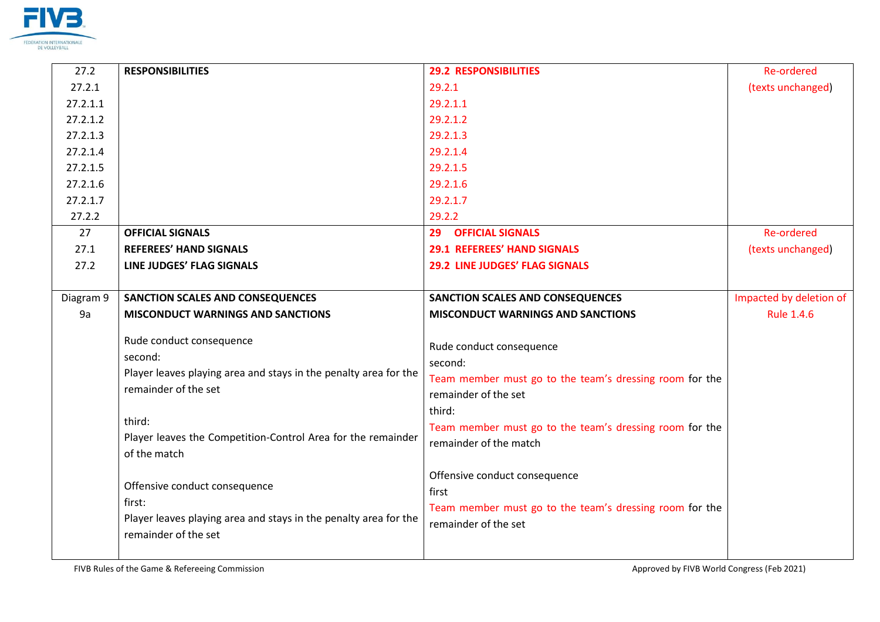

| 27.2      | <b>RESPONSIBILITIES</b>                                                                                                                                                                                                   | <b>29.2 RESPONSIBILITIES</b>                                                                                                                                                                                          | <b>Re-ordered</b>       |
|-----------|---------------------------------------------------------------------------------------------------------------------------------------------------------------------------------------------------------------------------|-----------------------------------------------------------------------------------------------------------------------------------------------------------------------------------------------------------------------|-------------------------|
| 27.2.1    |                                                                                                                                                                                                                           | 29.2.1                                                                                                                                                                                                                | (texts unchanged)       |
| 27.2.1.1  |                                                                                                                                                                                                                           | 29.2.1.1                                                                                                                                                                                                              |                         |
| 27.2.1.2  |                                                                                                                                                                                                                           | 29.2.1.2                                                                                                                                                                                                              |                         |
| 27.2.1.3  |                                                                                                                                                                                                                           | 29.2.1.3                                                                                                                                                                                                              |                         |
| 27.2.1.4  |                                                                                                                                                                                                                           | 29.2.1.4                                                                                                                                                                                                              |                         |
| 27.2.1.5  |                                                                                                                                                                                                                           | 29.2.1.5                                                                                                                                                                                                              |                         |
| 27.2.1.6  |                                                                                                                                                                                                                           | 29.2.1.6                                                                                                                                                                                                              |                         |
| 27.2.1.7  |                                                                                                                                                                                                                           | 29.2.1.7                                                                                                                                                                                                              |                         |
| 27.2.2    |                                                                                                                                                                                                                           | 29.2.2                                                                                                                                                                                                                |                         |
| 27        | <b>OFFICIAL SIGNALS</b>                                                                                                                                                                                                   | <b>OFFICIAL SIGNALS</b><br>29                                                                                                                                                                                         | <b>Re-ordered</b>       |
| 27.1      | <b>REFEREES' HAND SIGNALS</b>                                                                                                                                                                                             | <b>29.1 REFEREES' HAND SIGNALS</b>                                                                                                                                                                                    | (texts unchanged)       |
| 27.2      | LINE JUDGES' FLAG SIGNALS                                                                                                                                                                                                 | <b>29.2 LINE JUDGES' FLAG SIGNALS</b>                                                                                                                                                                                 |                         |
|           |                                                                                                                                                                                                                           |                                                                                                                                                                                                                       |                         |
| Diagram 9 | <b>SANCTION SCALES AND CONSEQUENCES</b>                                                                                                                                                                                   | <b>SANCTION SCALES AND CONSEQUENCES</b>                                                                                                                                                                               | Impacted by deletion of |
| 9a        | <b>MISCONDUCT WARNINGS AND SANCTIONS</b>                                                                                                                                                                                  | <b>MISCONDUCT WARNINGS AND SANCTIONS</b>                                                                                                                                                                              | <b>Rule 1.4.6</b>       |
|           | Rude conduct consequence<br>second:<br>Player leaves playing area and stays in the penalty area for the<br>remainder of the set<br>third:<br>Player leaves the Competition-Control Area for the remainder<br>of the match | Rude conduct consequence<br>second:<br>Team member must go to the team's dressing room for the<br>remainder of the set<br>third:<br>Team member must go to the team's dressing room for the<br>remainder of the match |                         |
|           | Offensive conduct consequence<br>first:<br>Player leaves playing area and stays in the penalty area for the<br>remainder of the set                                                                                       | Offensive conduct consequence<br>first<br>Team member must go to the team's dressing room for the<br>remainder of the set                                                                                             |                         |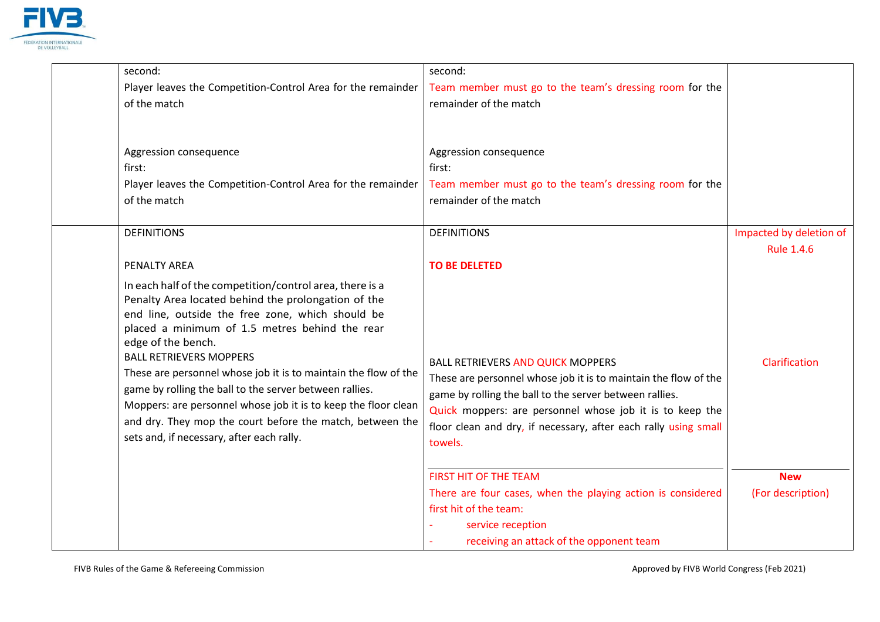

| second:                                                                                                                                                                                                                                                                                                                                                                                                                                                                                                                                                                                 | second:                                                                                                                                                                                                                                                                                                          |                                 |
|-----------------------------------------------------------------------------------------------------------------------------------------------------------------------------------------------------------------------------------------------------------------------------------------------------------------------------------------------------------------------------------------------------------------------------------------------------------------------------------------------------------------------------------------------------------------------------------------|------------------------------------------------------------------------------------------------------------------------------------------------------------------------------------------------------------------------------------------------------------------------------------------------------------------|---------------------------------|
| Player leaves the Competition-Control Area for the remainder                                                                                                                                                                                                                                                                                                                                                                                                                                                                                                                            | Team member must go to the team's dressing room for the                                                                                                                                                                                                                                                          |                                 |
| of the match                                                                                                                                                                                                                                                                                                                                                                                                                                                                                                                                                                            | remainder of the match                                                                                                                                                                                                                                                                                           |                                 |
|                                                                                                                                                                                                                                                                                                                                                                                                                                                                                                                                                                                         |                                                                                                                                                                                                                                                                                                                  |                                 |
| Aggression consequence                                                                                                                                                                                                                                                                                                                                                                                                                                                                                                                                                                  | Aggression consequence                                                                                                                                                                                                                                                                                           |                                 |
| first:                                                                                                                                                                                                                                                                                                                                                                                                                                                                                                                                                                                  | first:                                                                                                                                                                                                                                                                                                           |                                 |
| Player leaves the Competition-Control Area for the remainder                                                                                                                                                                                                                                                                                                                                                                                                                                                                                                                            | Team member must go to the team's dressing room for the                                                                                                                                                                                                                                                          |                                 |
| of the match                                                                                                                                                                                                                                                                                                                                                                                                                                                                                                                                                                            | remainder of the match                                                                                                                                                                                                                                                                                           |                                 |
|                                                                                                                                                                                                                                                                                                                                                                                                                                                                                                                                                                                         |                                                                                                                                                                                                                                                                                                                  |                                 |
| <b>DEFINITIONS</b>                                                                                                                                                                                                                                                                                                                                                                                                                                                                                                                                                                      | <b>DEFINITIONS</b>                                                                                                                                                                                                                                                                                               | Impacted by deletion of         |
|                                                                                                                                                                                                                                                                                                                                                                                                                                                                                                                                                                                         |                                                                                                                                                                                                                                                                                                                  | <b>Rule 1.4.6</b>               |
| PENALTY AREA                                                                                                                                                                                                                                                                                                                                                                                                                                                                                                                                                                            | <b>TO BE DELETED</b>                                                                                                                                                                                                                                                                                             |                                 |
| In each half of the competition/control area, there is a<br>Penalty Area located behind the prolongation of the<br>end line, outside the free zone, which should be<br>placed a minimum of 1.5 metres behind the rear<br>edge of the bench.<br><b>BALL RETRIEVERS MOPPERS</b><br>These are personnel whose job it is to maintain the flow of the<br>game by rolling the ball to the server between rallies.<br>Moppers: are personnel whose job it is to keep the floor clean<br>and dry. They mop the court before the match, between the<br>sets and, if necessary, after each rally. | <b>BALL RETRIEVERS AND QUICK MOPPERS</b><br>These are personnel whose job it is to maintain the flow of the<br>game by rolling the ball to the server between rallies.<br>Quick moppers: are personnel whose job it is to keep the<br>floor clean and dry, if necessary, after each rally using small<br>towels. | Clarification                   |
|                                                                                                                                                                                                                                                                                                                                                                                                                                                                                                                                                                                         | <b>FIRST HIT OF THE TEAM</b><br>There are four cases, when the playing action is considered<br>first hit of the team:<br>service reception<br>receiving an attack of the opponent team                                                                                                                           | <b>New</b><br>(For description) |